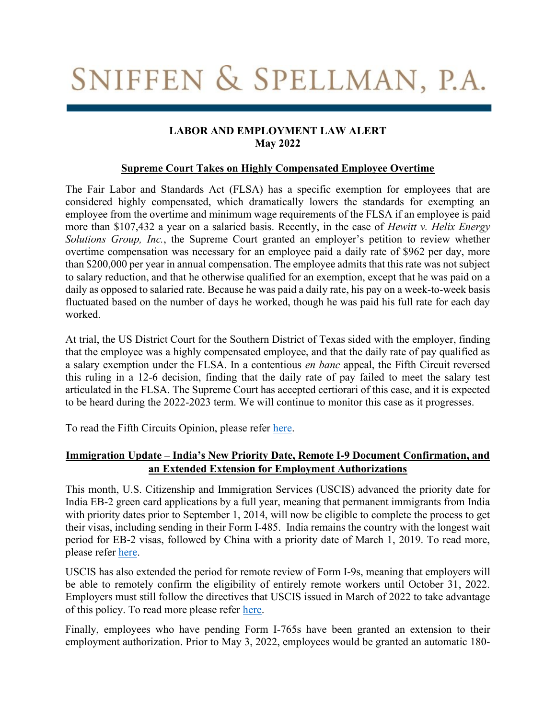# SNIFFEN & SPELLMAN, P.A.

## **LABOR AND EMPLOYMENT LAW ALERT May 2022**

#### **Supreme Court Takes on Highly Compensated Employee Overtime**

The Fair Labor and Standards Act (FLSA) has a specific exemption for employees that are considered highly compensated, which dramatically lowers the standards for exempting an employee from the overtime and minimum wage requirements of the FLSA if an employee is paid more than \$107,432 a year on a salaried basis. Recently, in the case of *Hewitt v. Helix Energy Solutions Group, Inc.*, the Supreme Court granted an employer's petition to review whether overtime compensation was necessary for an employee paid a daily rate of \$962 per day, more than \$200,000 per year in annual compensation. The employee admits that this rate was not subject to salary reduction, and that he otherwise qualified for an exemption, except that he was paid on a daily as opposed to salaried rate. Because he was paid a daily rate, his pay on a week-to-week basis fluctuated based on the number of days he worked, though he was paid his full rate for each day worked.

At trial, the US District Court for the Southern District of Texas sided with the employer, finding that the employee was a highly compensated employee, and that the daily rate of pay qualified as a salary exemption under the FLSA. In a contentious *en banc* appeal, the Fifth Circuit reversed this ruling in a 12-6 decision, finding that the daily rate of pay failed to meet the salary test articulated in the FLSA. The Supreme Court has accepted certiorari of this case, and it is expected to be heard during the 2022-2023 term. We will continue to monitor this case as it progresses.

To read the Fifth Circuits Opinion, please refer [here.](https://scholar.google.com/scholar_case?case=635159461304305094&q=hewitt+v.+helix+energy&hl=en&as_sdt=40006&as_vis=1)

## **Immigration Update – India's New Priority Date, Remote I-9 Document Confirmation, and an Extended Extension for Employment Authorizations**

This month, U.S. Citizenship and Immigration Services (USCIS) advanced the priority date for India EB-2 green card applications by a full year, meaning that permanent immigrants from India with priority dates prior to September 1, 2014, will now be eligible to complete the process to get their visas, including sending in their Form I-485. India remains the country with the longest wait period for EB-2 visas, followed by China with a priority date of March 1, 2019. To read more, please refer [here.](https://travel.state.gov/content/travel/en/legal/visa-law0/visa-bulletin/2022/visa-bulletin-for-june-2022.html)

USCIS has also extended the period for remote review of Form I-9s, meaning that employers will be able to remotely confirm the eligibility of entirely remote workers until October 31, 2022. Employers must still follow the directives that USCIS issued in March of 2022 to take advantage of this policy. To read more please refer [here.](https://www.uscis.gov/i-9-central/covid-19-form-i-9-related-news/temporary-policies-related-to-covid-19)

Finally, employees who have pending Form I-765s have been granted an extension to their employment authorization. Prior to May 3, 2022, employees would be granted an automatic 180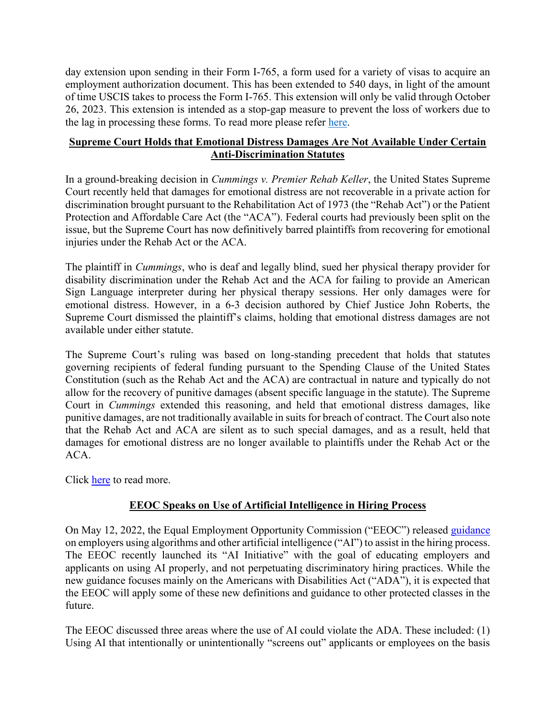day extension upon sending in their Form I-765, a form used for a variety of visas to acquire an employment authorization document. This has been extended to 540 days, in light of the amount of time USCIS takes to process the Form I-765. This extension will only be valid through October 26, 2023. This extension is intended as a stop-gap measure to prevent the loss of workers due to the lag in processing these forms. To read more please refer [here.](https://www.federalregister.gov/documents/2022/05/04/2022-09539/temporary-increase-of-the-automatic-extension-period-of-employment-authorization-and-documentation)

#### **Supreme Court Holds that Emotional Distress Damages Are Not Available Under Certain Anti-Discrimination Statutes**

In a ground-breaking decision in *Cummings v. Premier Rehab Keller*, the United States Supreme Court recently held that damages for emotional distress are not recoverable in a private action for discrimination brought pursuant to the Rehabilitation Act of 1973 (the "Rehab Act") or the Patient Protection and Affordable Care Act (the "ACA"). Federal courts had previously been split on the issue, but the Supreme Court has now definitively barred plaintiffs from recovering for emotional injuries under the Rehab Act or the ACA.

The plaintiff in *Cummings*, who is deaf and legally blind, sued her physical therapy provider for disability discrimination under the Rehab Act and the ACA for failing to provide an American Sign Language interpreter during her physical therapy sessions. Her only damages were for emotional distress. However, in a 6-3 decision authored by Chief Justice John Roberts, the Supreme Court dismissed the plaintiff's claims, holding that emotional distress damages are not available under either statute.

The Supreme Court's ruling was based on long-standing precedent that holds that statutes governing recipients of federal funding pursuant to the Spending Clause of the United States Constitution (such as the Rehab Act and the ACA) are contractual in nature and typically do not allow for the recovery of punitive damages (absent specific language in the statute). The Supreme Court in *Cummings* extended this reasoning, and held that emotional distress damages, like punitive damages, are not traditionally available in suits for breach of contract. The Court also note that the Rehab Act and ACA are silent as to such special damages, and as a result, held that damages for emotional distress are no longer available to plaintiffs under the Rehab Act or the ACA.

Click [here](https://www.supremecourt.gov/opinions/21pdf/20-219_1b82.pdf) to read more.

# **EEOC Speaks on Use of Artificial Intelligence in Hiring Process**

On May 12, 2022, the Equal Employment Opportunity Commission ("EEOC") released [guidance](https://www.eeoc.gov/laws/guidance/americans-disabilities-act-and-use-software-algorithms-and-artificial-intelligence) on employers using algorithms and other artificial intelligence ("AI") to assist in the hiring process. The EEOC recently launched its "AI Initiative" with the goal of educating employers and applicants on using AI properly, and not perpetuating discriminatory hiring practices. While the new guidance focuses mainly on the Americans with Disabilities Act ("ADA"), it is expected that the EEOC will apply some of these new definitions and guidance to other protected classes in the future.

The EEOC discussed three areas where the use of AI could violate the ADA. These included: (1) Using AI that intentionally or unintentionally "screens out" applicants or employees on the basis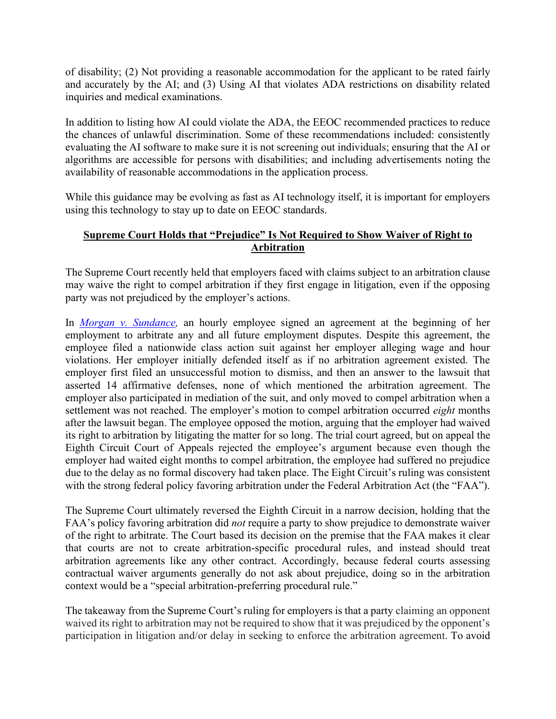of disability; (2) Not providing a reasonable accommodation for the applicant to be rated fairly and accurately by the AI; and (3) Using AI that violates ADA restrictions on disability related inquiries and medical examinations.

In addition to listing how AI could violate the ADA, the EEOC recommended practices to reduce the chances of unlawful discrimination. Some of these recommendations included: consistently evaluating the AI software to make sure it is not screening out individuals; ensuring that the AI or algorithms are accessible for persons with disabilities; and including advertisements noting the availability of reasonable accommodations in the application process.

While this guidance may be evolving as fast as AI technology itself, it is important for employers using this technology to stay up to date on EEOC standards.

## **Supreme Court Holds that "Prejudice" Is Not Required to Show Waiver of Right to Arbitration**

The Supreme Court recently held that employers faced with claims subject to an arbitration clause may waive the right to compel arbitration if they first engage in litigation, even if the opposing party was not prejudiced by the employer's actions.

In *[Morgan v. Sundance,](https://www.supremecourt.gov/opinions/21pdf/21-328_m6ho.pdf)* an hourly employee signed an agreement at the beginning of her employment to arbitrate any and all future employment disputes. Despite this agreement, the employee filed a nationwide class action suit against her employer alleging wage and hour violations. Her employer initially defended itself as if no arbitration agreement existed. The employer first filed an unsuccessful motion to dismiss, and then an answer to the lawsuit that asserted 14 affirmative defenses, none of which mentioned the arbitration agreement. The employer also participated in mediation of the suit, and only moved to compel arbitration when a settlement was not reached. The employer's motion to compel arbitration occurred *eight* months after the lawsuit began. The employee opposed the motion, arguing that the employer had waived its right to arbitration by litigating the matter for so long. The trial court agreed, but on appeal the Eighth Circuit Court of Appeals rejected the employee's argument because even though the employer had waited eight months to compel arbitration, the employee had suffered no prejudice due to the delay as no formal discovery had taken place. The Eight Circuit's ruling was consistent with the strong federal policy favoring arbitration under the Federal Arbitration Act (the "FAA").

The Supreme Court ultimately reversed the Eighth Circuit in a narrow decision, holding that the FAA's policy favoring arbitration did *not* require a party to show prejudice to demonstrate waiver of the right to arbitrate. The Court based its decision on the premise that the FAA makes it clear that courts are not to create arbitration-specific procedural rules, and instead should treat arbitration agreements like any other contract. Accordingly, because federal courts assessing contractual waiver arguments generally do not ask about prejudice, doing so in the arbitration context would be a "special arbitration-preferring procedural rule."

The takeaway from the Supreme Court's ruling for employers is that a party claiming an opponent waived its right to arbitration may not be required to show that it was prejudiced by the opponent's participation in litigation and/or delay in seeking to enforce the arbitration agreement. To avoid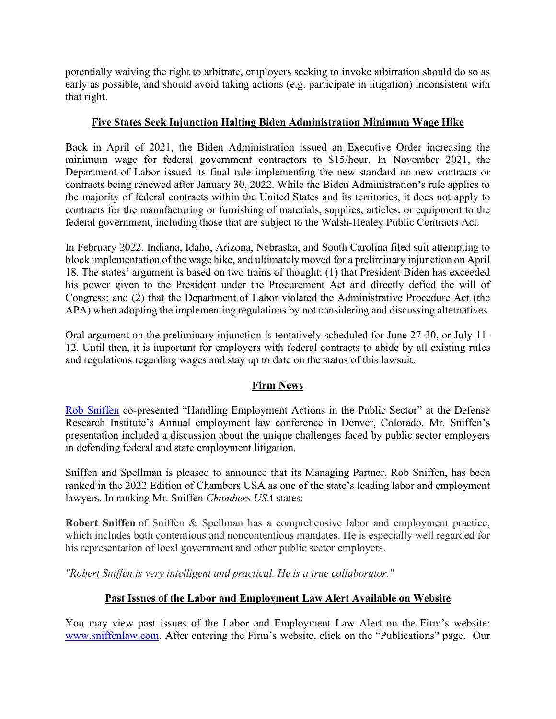potentially waiving the right to arbitrate, employers seeking to invoke arbitration should do so as early as possible, and should avoid taking actions (e.g. participate in litigation) inconsistent with that right.

## **Five States Seek Injunction Halting Biden Administration Minimum Wage Hike**

Back in April of 2021, the Biden Administration issued an Executive Order increasing the minimum wage for federal government contractors to \$15/hour. In November 2021, the Department of Labor issued its final rule implementing the new standard on new contracts or contracts being renewed after January 30, 2022. While the Biden Administration's rule applies to the majority of federal contracts within the United States and its territories, it does not apply to contracts for the manufacturing or furnishing of materials, supplies, articles, or equipment to the federal government, including those that are subject to the Walsh-Healey Public Contracts Act*.*

In February 2022, Indiana, Idaho, Arizona, Nebraska, and South Carolina filed suit attempting to block implementation of the wage hike, and ultimately moved for a preliminary injunction on April 18. The states' argument is based on two trains of thought: (1) that President Biden has exceeded his power given to the President under the Procurement Act and directly defied the will of Congress; and (2) that the Department of Labor violated the Administrative Procedure Act (the APA) when adopting the implementing regulations by not considering and discussing alternatives.

Oral argument on the preliminary injunction is tentatively scheduled for June 27-30, or July 11- 12. Until then, it is important for employers with federal contracts to abide by all existing rules and regulations regarding wages and stay up to date on the status of this lawsuit.

#### **Firm News**

[Rob Sniffen](https://sniffenlaw.com/sniffen/) co-presented "Handling Employment Actions in the Public Sector" at the Defense Research Institute's Annual employment law conference in Denver, Colorado. Mr. Sniffen's presentation included a discussion about the unique challenges faced by public sector employers in defending federal and state employment litigation.

Sniffen and Spellman is pleased to announce that its Managing Partner, Rob Sniffen, has been ranked in the 2022 Edition of Chambers USA as one of the state's leading labor and employment lawyers. In ranking Mr. Sniffen *Chambers USA* states:

**Robert Sniffen** of Sniffen & Spellman has a comprehensive labor and employment practice, which includes both contentious and noncontentious mandates. He is especially well regarded for his representation of local government and other public sector employers.

*"Robert Sniffen is very intelligent and practical. He is a true collaborator."*

# **Past Issues of the Labor and Employment Law Alert Available on Website**

You may view past issues of the Labor and Employment Law Alert on the Firm's website: [www.sniffenlaw.com](http://www.sniffenlaw.com/). After entering the Firm's website, click on the "Publications" page. Our